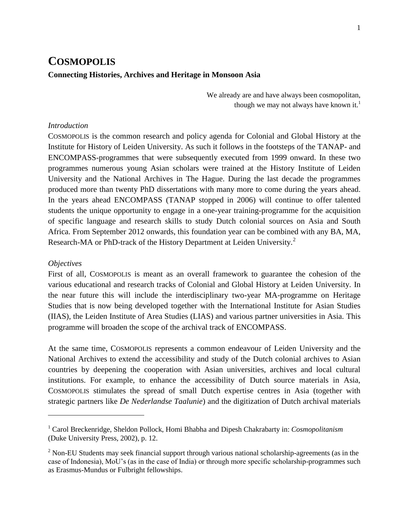# **COSMOPOLIS Connecting Histories, Archives and Heritage in Monsoon Asia**

We already are and have always been cosmopolitan, though we may not always have known it.<sup>1</sup>

### *Introduction*

COSMOPOLIS is the common research and policy agenda for Colonial and Global History at the Institute for History of Leiden University. As such it follows in the footsteps of the TANAP- and ENCOMPASS-programmes that were subsequently executed from 1999 onward. In these two programmes numerous young Asian scholars were trained at the History Institute of Leiden University and the National Archives in The Hague. During the last decade the programmes produced more than twenty PhD dissertations with many more to come during the years ahead. In the years ahead ENCOMPASS (TANAP stopped in 2006) will continue to offer talented students the unique opportunity to engage in a one-year training-programme for the acquisition of specific language and research skills to study Dutch colonial sources on Asia and South Africa. From September 2012 onwards, this foundation year can be combined with any BA, MA, Research-MA or PhD-track of the History Department at Leiden University. $^{2}$ 

#### *Objectives*

 $\overline{a}$ 

First of all, COSMOPOLIS is meant as an overall framework to guarantee the cohesion of the various educational and research tracks of Colonial and Global History at Leiden University. In the near future this will include the interdisciplinary two-year MA-programme on Heritage Studies that is now being developed together with the International Institute for Asian Studies (IIAS), the Leiden Institute of Area Studies (LIAS) and various partner universities in Asia. This programme will broaden the scope of the archival track of ENCOMPASS.

At the same time, COSMOPOLIS represents a common endeavour of Leiden University and the National Archives to extend the accessibility and study of the Dutch colonial archives to Asian countries by deepening the cooperation with Asian universities, archives and local cultural institutions. For example, to enhance the accessibility of Dutch source materials in Asia, COSMOPOLIS stimulates the spread of small Dutch expertise centres in Asia (together with strategic partners like *De Nederlandse Taalunie*) and the digitization of Dutch archival materials

<sup>1</sup> Carol Breckenridge, Sheldon Pollock, Homi Bhabha and Dipesh Chakrabarty in: *Cosmopolitanism* (Duke University Press, 2002), p. 12.

<sup>&</sup>lt;sup>2</sup> Non-EU Students may seek financial support through various national scholarship-agreements (as in the case of Indonesia), MoU"s (as in the case of India) or through more specific scholarship-programmes such as Erasmus-Mundus or Fulbright fellowships.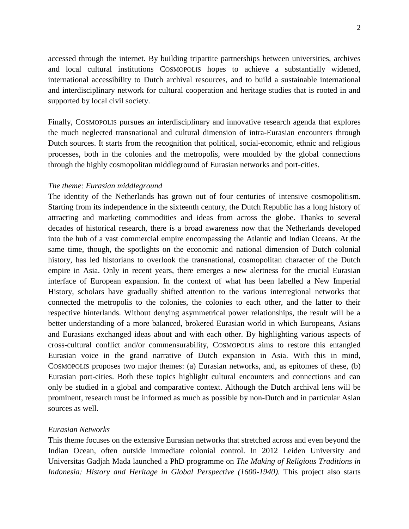accessed through the internet. By building tripartite partnerships between universities, archives and local cultural institutions COSMOPOLIS hopes to achieve a substantially widened, international accessibility to Dutch archival resources, and to build a sustainable international and interdisciplinary network for cultural cooperation and heritage studies that is rooted in and supported by local civil society.

Finally, COSMOPOLIS pursues an interdisciplinary and innovative research agenda that explores the much neglected transnational and cultural dimension of intra-Eurasian encounters through Dutch sources. It starts from the recognition that political, social-economic, ethnic and religious processes, both in the colonies and the metropolis, were moulded by the global connections through the highly cosmopolitan middleground of Eurasian networks and port-cities.

#### *The theme: Eurasian middleground*

The identity of the Netherlands has grown out of four centuries of intensive cosmopolitism. Starting from its independence in the sixteenth century, the Dutch Republic has a long history of attracting and marketing commodities and ideas from across the globe. Thanks to several decades of historical research, there is a broad awareness now that the Netherlands developed into the hub of a vast commercial empire encompassing the Atlantic and Indian Oceans. At the same time, though, the spotlights on the economic and national dimension of Dutch colonial history, has led historians to overlook the transnational, cosmopolitan character of the Dutch empire in Asia. Only in recent years, there emerges a new alertness for the crucial Eurasian interface of European expansion. In the context of what has been labelled a New Imperial History, scholars have gradually shifted attention to the various interregional networks that connected the metropolis to the colonies, the colonies to each other, and the latter to their respective hinterlands. Without denying asymmetrical power relationships, the result will be a better understanding of a more balanced, brokered Eurasian world in which Europeans, Asians and Eurasians exchanged ideas about and with each other. By highlighting various aspects of cross-cultural conflict and/or commensurability, COSMOPOLIS aims to restore this entangled Eurasian voice in the grand narrative of Dutch expansion in Asia. With this in mind, COSMOPOLIS proposes two major themes: (a) Eurasian networks, and, as epitomes of these, (b) Eurasian port-cities. Both these topics highlight cultural encounters and connections and can only be studied in a global and comparative context. Although the Dutch archival lens will be prominent, research must be informed as much as possible by non-Dutch and in particular Asian sources as well.

# *Eurasian Networks*

This theme focuses on the extensive Eurasian networks that stretched across and even beyond the Indian Ocean, often outside immediate colonial control. In 2012 Leiden University and Universitas Gadjah Mada launched a PhD programme on *The Making of Religious Traditions in Indonesia: History and Heritage in Global Perspective (1600-1940).* This project also starts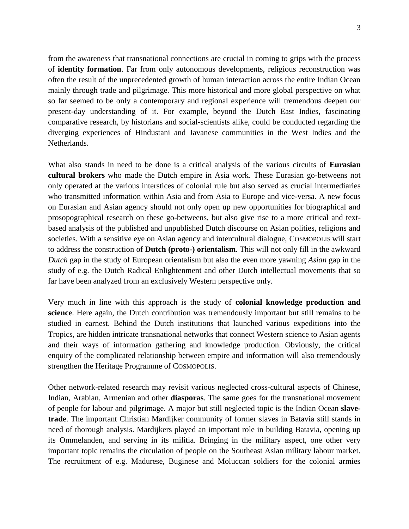from the awareness that transnational connections are crucial in coming to grips with the process of **identity formation**. Far from only autonomous developments, religious reconstruction was often the result of the unprecedented growth of human interaction across the entire Indian Ocean mainly through trade and pilgrimage. This more historical and more global perspective on what so far seemed to be only a contemporary and regional experience will tremendous deepen our present-day understanding of it. For example, beyond the Dutch East Indies, fascinating comparative research, by historians and social-scientists alike, could be conducted regarding the diverging experiences of Hindustani and Javanese communities in the West Indies and the Netherlands.

What also stands in need to be done is a critical analysis of the various circuits of **Eurasian cultural brokers** who made the Dutch empire in Asia work. These Eurasian go-betweens not only operated at the various interstices of colonial rule but also served as crucial intermediaries who transmitted information within Asia and from Asia to Europe and vice-versa. A new focus on Eurasian and Asian agency should not only open up new opportunities for biographical and prosopographical research on these go-betweens, but also give rise to a more critical and textbased analysis of the published and unpublished Dutch discourse on Asian polities, religions and societies. With a sensitive eye on Asian agency and intercultural dialogue, COSMOPOLIS will start to address the construction of **Dutch (proto-) orientalism**. This will not only fill in the awkward *Dutch* gap in the study of European orientalism but also the even more yawning *Asian* gap in the study of e.g. the Dutch Radical Enlightenment and other Dutch intellectual movements that so far have been analyzed from an exclusively Western perspective only.

Very much in line with this approach is the study of **colonial knowledge production and science**. Here again, the Dutch contribution was tremendously important but still remains to be studied in earnest. Behind the Dutch institutions that launched various expeditions into the Tropics, are hidden intricate transnational networks that connect Western science to Asian agents and their ways of information gathering and knowledge production. Obviously, the critical enquiry of the complicated relationship between empire and information will also tremendously strengthen the Heritage Programme of COSMOPOLIS.

Other network-related research may revisit various neglected cross-cultural aspects of Chinese, Indian, Arabian, Armenian and other **diasporas**. The same goes for the transnational movement of people for labour and pilgrimage. A major but still neglected topic is the Indian Ocean **slavetrade**. The important Christian Mardijker community of former slaves in Batavia still stands in need of thorough analysis. Mardijkers played an important role in building Batavia, opening up its Ommelanden, and serving in its militia. Bringing in the military aspect, one other very important topic remains the circulation of people on the Southeast Asian military labour market. The recruitment of e.g. Madurese, Buginese and Moluccan soldiers for the colonial armies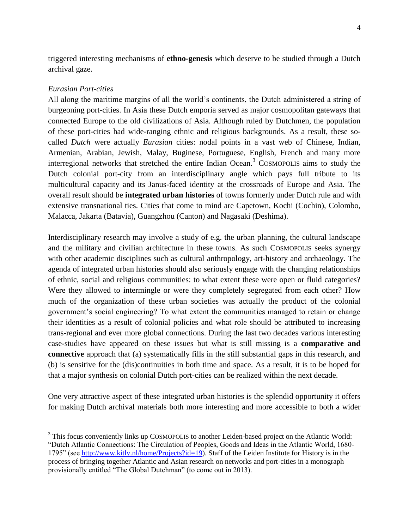triggered interesting mechanisms of **ethno-genesis** which deserve to be studied through a Dutch archival gaze.

## *Eurasian Port-cities*

l

All along the maritime margins of all the world"s continents, the Dutch administered a string of burgeoning port-cities. In Asia these Dutch emporia served as major cosmopolitan gateways that connected Europe to the old civilizations of Asia. Although ruled by Dutchmen, the population of these port-cities had wide-ranging ethnic and religious backgrounds. As a result, these socalled *Dutch* were actually *Eurasian* cities: nodal points in a vast web of Chinese, Indian, Armenian, Arabian, Jewish, Malay, Buginese, Portuguese, English, French and many more interregional networks that stretched the entire Indian Ocean.<sup>3</sup> COSMOPOLIS aims to study the Dutch colonial port-city from an interdisciplinary angle which pays full tribute to its multicultural capacity and its Janus-faced identity at the crossroads of Europe and Asia. The overall result should be **integrated urban histories** of towns formerly under Dutch rule and with extensive transnational ties. Cities that come to mind are Capetown, Kochi (Cochin), Colombo, Malacca, Jakarta (Batavia), Guangzhou (Canton) and Nagasaki (Deshima).

Interdisciplinary research may involve a study of e.g. the urban planning, the cultural landscape and the military and civilian architecture in these towns. As such COSMOPOLIS seeks synergy with other academic disciplines such as cultural anthropology, art-history and archaeology. The agenda of integrated urban histories should also seriously engage with the changing relationships of ethnic, social and religious communities: to what extent these were open or fluid categories? Were they allowed to intermingle or were they completely segregated from each other? How much of the organization of these urban societies was actually the product of the colonial government's social engineering? To what extent the communities managed to retain or change their identities as a result of colonial policies and what role should be attributed to increasing trans-regional and ever more global connections. During the last two decades various interesting case-studies have appeared on these issues but what is still missing is a **comparative and connective** approach that (a) systematically fills in the still substantial gaps in this research, and (b) is sensitive for the (dis)continuities in both time and space. As a result, it is to be hoped for that a major synthesis on colonial Dutch port-cities can be realized within the next decade.

One very attractive aspect of these integrated urban histories is the splendid opportunity it offers for making Dutch archival materials both more interesting and more accessible to both a wider

<sup>&</sup>lt;sup>3</sup> This focus conveniently links up COSMOPOLIS to another Leiden-based project on the Atlantic World: "Dutch Atlantic Connections: The Circulation of Peoples, Goods and Ideas in the Atlantic World, 1680- 1795" (see [http://www.kitlv.nl/home/Projects?id=19\)](http://www.kitlv.nl/home/Projects?id=19). Staff of the Leiden Institute for History is in the process of bringing together Atlantic and Asian research on networks and port-cities in a monograph provisionally entitled "The Global Dutchman" (to come out in 2013).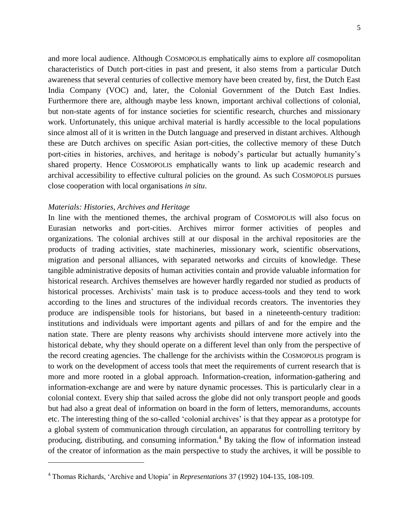and more local audience. Although COSMOPOLIS emphatically aims to explore *all* cosmopolitan

characteristics of Dutch port-cities in past and present, it also stems from a particular Dutch awareness that several centuries of collective memory have been created by, first, the Dutch East India Company (VOC) and, later, the Colonial Government of the Dutch East Indies. Furthermore there are, although maybe less known, important archival collections of colonial, but non-state agents of for instance societies for scientific research, churches and missionary work. Unfortunately, this unique archival material is hardly accessible to the local populations since almost all of it is written in the Dutch language and preserved in distant archives. Although these are Dutch archives on specific Asian port-cities, the collective memory of these Dutch port-cities in histories, archives, and heritage is nobody's particular but actually humanity's shared property. Hence COSMOPOLIS emphatically wants to link up academic research and archival accessibility to effective cultural policies on the ground. As such COSMOPOLIS pursues close cooperation with local organisations *in situ*.

#### *Materials: Histories, Archives and Heritage*

 $\overline{\phantom{0}}$ 

In line with the mentioned themes, the archival program of COSMOPOLIS will also focus on Eurasian networks and port-cities. Archives mirror former activities of peoples and organizations. The colonial archives still at our disposal in the archival repositories are the products of trading activities, state machineries, missionary work, scientific observations, migration and personal alliances, with separated networks and circuits of knowledge. These tangible administrative deposits of human activities contain and provide valuable information for historical research. Archives themselves are however hardly regarded nor studied as products of historical processes. Archivists' main task is to produce access-tools and they tend to work according to the lines and structures of the individual records creators. The inventories they produce are indispensible tools for historians, but based in a nineteenth-century tradition: institutions and individuals were important agents and pillars of and for the empire and the nation state. There are plenty reasons why archivists should intervene more actively into the historical debate, why they should operate on a different level than only from the perspective of the record creating agencies. The challenge for the archivists within the COSMOPOLIS program is to work on the development of access tools that meet the requirements of current research that is more and more rooted in a global approach. Information-creation, information-gathering and information-exchange are and were by nature dynamic processes. This is particularly clear in a colonial context. Every ship that sailed across the globe did not only transport people and goods but had also a great deal of information on board in the form of letters, memorandums, accounts etc. The interesting thing of the so-called 'colonial archives' is that they appear as a prototype for a global system of communication through circulation, an apparatus for controlling territory by producing, distributing, and consuming information.<sup>4</sup> By taking the flow of information instead of the creator of information as the main perspective to study the archives, it will be possible to

<sup>4</sup> Thomas Richards, "Archive and Utopia" in *Representations* 37 (1992) 104-135, 108-109.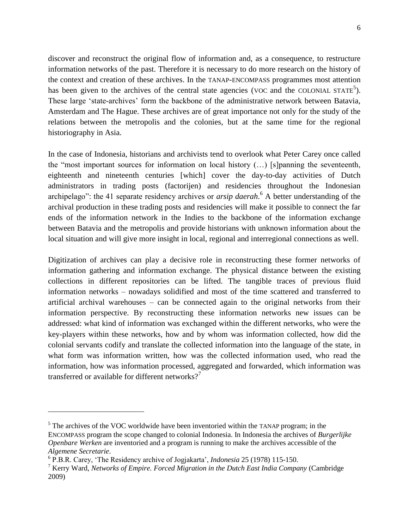discover and reconstruct the original flow of information and, as a consequence, to restructure information networks of the past. Therefore it is necessary to do more research on the history of the context and creation of these archives. In the TANAP-ENCOMPASS programmes most attention has been given to the archives of the central state agencies (VOC and the COLONIAL STATE<sup>5</sup>). These large 'state-archives' form the backbone of the administrative network between Batavia, Amsterdam and The Hague. These archives are of great importance not only for the study of the relations between the metropolis and the colonies, but at the same time for the regional historiography in Asia.

In the case of Indonesia, historians and archivists tend to overlook what Peter Carey once called the "most important sources for information on local history (…) [s]panning the seventeenth, eighteenth and nineteenth centuries [which] cover the day-to-day activities of Dutch administrators in trading posts (factorijen) and residencies throughout the Indonesian archipelago": the 41 separate residency archives or *arsip daerah*. <sup>6</sup> A better understanding of the archival production in these trading posts and residencies will make it possible to connect the far ends of the information network in the Indies to the backbone of the information exchange between Batavia and the metropolis and provide historians with unknown information about the local situation and will give more insight in local, regional and interregional connections as well.

Digitization of archives can play a decisive role in reconstructing these former networks of information gathering and information exchange. The physical distance between the existing collections in different repositories can be lifted. The tangible traces of previous fluid information networks – nowadays solidified and most of the time scattered and transferred to artificial archival warehouses – can be connected again to the original networks from their information perspective. By reconstructing these information networks new issues can be addressed: what kind of information was exchanged within the different networks, who were the key-players within these networks, how and by whom was information collected, how did the colonial servants codify and translate the collected information into the language of the state, in what form was information written, how was the collected information used, who read the information, how was information processed, aggregated and forwarded, which information was transferred or available for different networks?<sup>7</sup>

l

 $<sup>5</sup>$  The archives of the VOC worldwide have been inventoried within the TANAP program; in the</sup> ENCOMPASS program the scope changed to colonial Indonesia. In Indonesia the archives of *Burgerlijke Openbare Werken* are inventoried and a program is running to make the archives accessible of the *Algemene Secretarie*.

<sup>6</sup> P.B.R. Carey, "The Residency archive of Jogjakarta", *Indonesia* 25 (1978) 115-150.

<sup>7</sup> Kerry Ward, *Networks of Empire. Forced Migration in the Dutch East India Company* (Cambridge 2009)